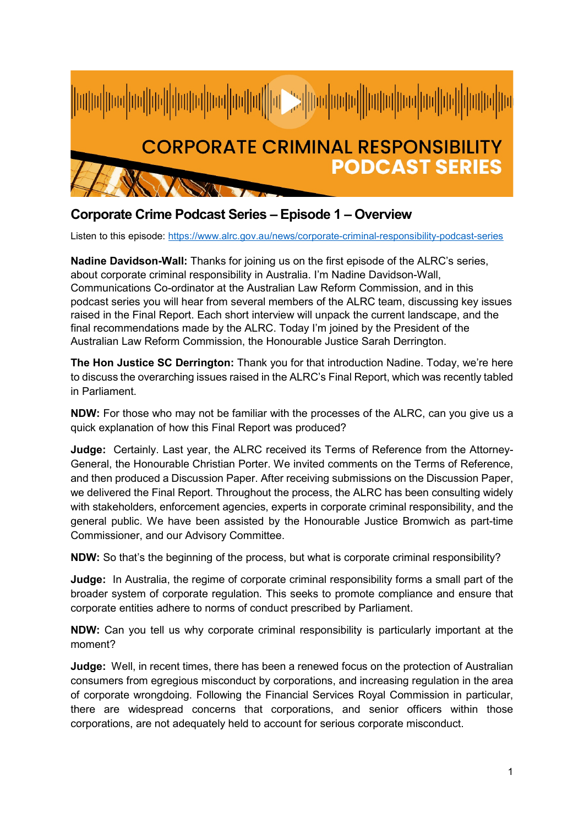

## **Corporate Crime Podcast Series – Episode 1 – Overview**

Listen to this episode:<https://www.alrc.gov.au/news/corporate-criminal-responsibility-podcast-series>

**Nadine Davidson-Wall:** Thanks for joining us on the first episode of the ALRC's series, about corporate criminal responsibility in Australia. I'm Nadine Davidson-Wall, Communications Co-ordinator at the Australian Law Reform Commission, and in this podcast series you will hear from several members of the ALRC team, discussing key issues raised in the Final Report. Each short interview will unpack the current landscape, and the final recommendations made by the ALRC. Today I'm joined by the President of the Australian Law Reform Commission, the Honourable Justice Sarah Derrington.

**The Hon Justice SC Derrington:** Thank you for that introduction Nadine. Today, we're here to discuss the overarching issues raised in the ALRC's Final Report, which was recently tabled in Parliament.

**NDW:** For those who may not be familiar with the processes of the ALRC, can you give us a quick explanation of how this Final Report was produced?

**Judge:** Certainly. Last year, the ALRC received its Terms of Reference from the Attorney-General, the Honourable Christian Porter. We invited comments on the Terms of Reference, and then produced a Discussion Paper. After receiving submissions on the Discussion Paper, we delivered the Final Report. Throughout the process, the ALRC has been consulting widely with stakeholders, enforcement agencies, experts in corporate criminal responsibility, and the general public. We have been assisted by the Honourable Justice Bromwich as part-time Commissioner, and our Advisory Committee.

**NDW:** So that's the beginning of the process, but what is corporate criminal responsibility?

**Judge:** In Australia, the regime of corporate criminal responsibility forms a small part of the broader system of corporate regulation. This seeks to promote compliance and ensure that corporate entities adhere to norms of conduct prescribed by Parliament.

**NDW:** Can you tell us why corporate criminal responsibility is particularly important at the moment?

**Judge:** Well, in recent times, there has been a renewed focus on the protection of Australian consumers from egregious misconduct by corporations, and increasing regulation in the area of corporate wrongdoing. Following the Financial Services Royal Commission in particular, there are widespread concerns that corporations, and senior officers within those corporations, are not adequately held to account for serious corporate misconduct.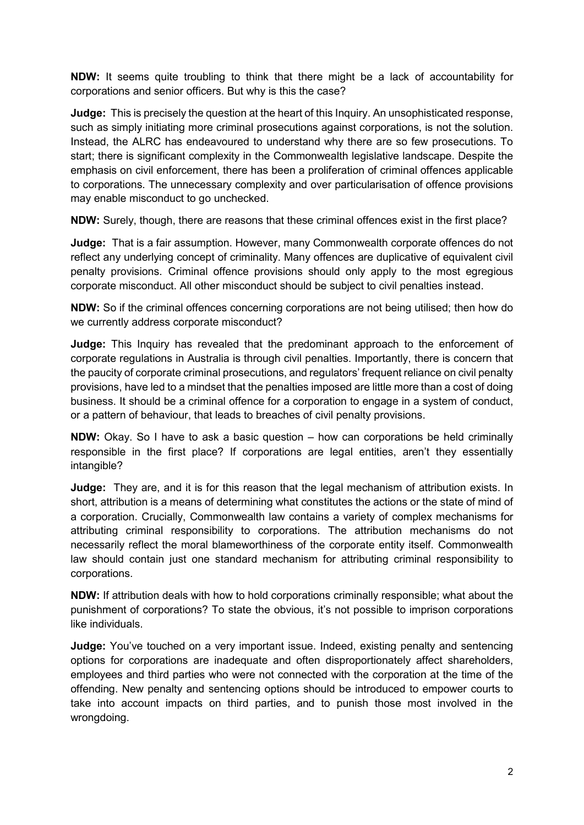**NDW:** It seems quite troubling to think that there might be a lack of accountability for corporations and senior officers. But why is this the case?

**Judge:** This is precisely the question at the heart of this Inquiry. An unsophisticated response, such as simply initiating more criminal prosecutions against corporations, is not the solution. Instead, the ALRC has endeavoured to understand why there are so few prosecutions. To start; there is significant complexity in the Commonwealth legislative landscape. Despite the emphasis on civil enforcement, there has been a proliferation of criminal offences applicable to corporations. The unnecessary complexity and over particularisation of offence provisions may enable misconduct to go unchecked.

**NDW:** Surely, though, there are reasons that these criminal offences exist in the first place?

**Judge:** That is a fair assumption. However, many Commonwealth corporate offences do not reflect any underlying concept of criminality. Many offences are duplicative of equivalent civil penalty provisions. Criminal offence provisions should only apply to the most egregious corporate misconduct. All other misconduct should be subject to civil penalties instead.

**NDW:** So if the criminal offences concerning corporations are not being utilised; then how do we currently address corporate misconduct?

**Judge:** This Inquiry has revealed that the predominant approach to the enforcement of corporate regulations in Australia is through civil penalties. Importantly, there is concern that the paucity of corporate criminal prosecutions, and regulators' frequent reliance on civil penalty provisions, have led to a mindset that the penalties imposed are little more than a cost of doing business. It should be a criminal offence for a corporation to engage in a system of conduct, or a pattern of behaviour, that leads to breaches of civil penalty provisions.

**NDW:** Okay. So I have to ask a basic question – how can corporations be held criminally responsible in the first place? If corporations are legal entities, aren't they essentially intangible?

**Judge:** They are, and it is for this reason that the legal mechanism of attribution exists. In short, attribution is a means of determining what constitutes the actions or the state of mind of a corporation. Crucially, Commonwealth law contains a variety of complex mechanisms for attributing criminal responsibility to corporations. The attribution mechanisms do not necessarily reflect the moral blameworthiness of the corporate entity itself. Commonwealth law should contain just one standard mechanism for attributing criminal responsibility to corporations.

**NDW:** If attribution deals with how to hold corporations criminally responsible; what about the punishment of corporations? To state the obvious, it's not possible to imprison corporations like individuals.

**Judge:** You've touched on a very important issue. Indeed, existing penalty and sentencing options for corporations are inadequate and often disproportionately affect shareholders, employees and third parties who were not connected with the corporation at the time of the offending. New penalty and sentencing options should be introduced to empower courts to take into account impacts on third parties, and to punish those most involved in the wrongdoing.